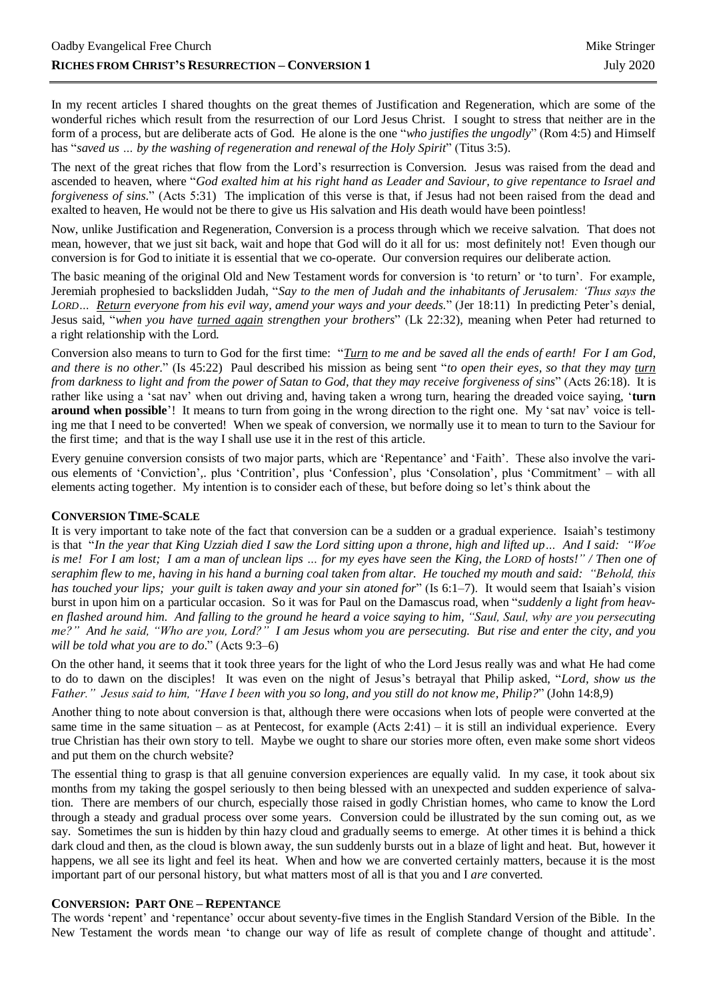In my recent articles I shared thoughts on the great themes of Justification and Regeneration, which are some of the wonderful riches which result from the resurrection of our Lord Jesus Christ. I sought to stress that neither are in the form of a process, but are deliberate acts of God. He alone is the one "*who justifies the ungodly*" (Rom 4:5) and Himself has "*saved us … by the washing of regeneration and renewal of the Holy Spirit*" (Titus 3:5).

The next of the great riches that flow from the Lord's resurrection is Conversion. Jesus was raised from the dead and ascended to heaven, where "*God exalted him at his right hand as Leader and Saviour, to give repentance to Israel and forgiveness of sins.*" (Acts 5:31) The implication of this verse is that, if Jesus had not been raised from the dead and exalted to heaven, He would not be there to give us His salvation and His death would have been pointless!

Now, unlike Justification and Regeneration, Conversion is a process through which we receive salvation. That does not mean, however, that we just sit back, wait and hope that God will do it all for us: most definitely not! Even though our conversion is for God to initiate it is essential that we co-operate. Our conversion requires our deliberate action.

The basic meaning of the original Old and New Testament words for conversion is 'to return' or 'to turn'. For example, Jeremiah prophesied to backslidden Judah, "*Say to the men of Judah and the inhabitants of Jerusalem: 'Thus says the LORD… Return everyone from his evil way, amend your ways and your deeds.*" (Jer 18:11) In predicting Peter's denial, Jesus said, "*when you have turned again strengthen your brothers*" (Lk 22:32), meaning when Peter had returned to a right relationship with the Lord.

Conversion also means to turn to God for the first time: "*Turn to me and be saved all the ends of earth! For I am God, and there is no other.*" (Is 45:22) Paul described his mission as being sent "*to open their eyes, so that they may turn from darkness to light and from the power of Satan to God, that they may receive forgiveness of sins*" (Acts [26:18\)](https://www.biblegateway.com/passage/?search=Acts%2026%3A18&version=ESVUK). It is rather like using a 'sat nav' when out driving and, having taken a wrong turn, hearing the dreaded voice saying, '**turn around when possible**'! It means to turn from going in the wrong direction to the right one. My 'sat nav' voice is telling me that I need to be converted! When we speak of conversion, we normally use it to mean to turn to the Saviour for the first time; and that is the way I shall use use it in the rest of this article.

Every genuine conversion consists of two major parts, which are 'Repentance' and 'Faith'. These also involve the various elements of 'Conviction',. plus 'Contrition', plus 'Confession', plus 'Consolation', plus 'Commitment' – with all elements acting together. My intention is to consider each of these, but before doing so let's think about the

## **CONVERSION TIME-SCALE**

It is very important to take note of the fact that conversion can be a sudden or a gradual experience. Isaiah's testimony is that "*In the year that King Uzziah died I saw the Lord sitting upon a throne, high and lifted up… And I said: "Woe is me! For I am lost; I am a man of unclean lips … for my eyes have seen the King, the LORD of hosts!" / Then one of seraphim flew to me, having in his hand a burning coal taken from altar. He touched my mouth and said: "Behold, this has touched your lips; your guilt is taken away and your sin atoned for*" (Is 6:1–7). It would seem that Isaiah's vision burst in upon him on a particular occasion. So it was for Paul on the Damascus road, when "*suddenly a light from heaven flashed around him. And falling to the ground he heard a voice saying to him, "Saul, Saul, why are you persecuting me?" And he said, "Who are you, Lord?" I am Jesus whom you are persecuting. But rise and enter the city, and you will be told what you are to do*." (Acts 9:3–6)

On the other hand, it seems that it took three years for the light of who the Lord Jesus really was and what He had come to do to dawn on the disciples! It was even on the night of Jesus's betrayal that Philip asked, "*Lord, show us the Father." Jesus said to him, "Have I been with you so long, and you still do not know me, Philip?*" (John 14:8,9)

Another thing to note about conversion is that, although there were occasions when lots of people were converted at the same time in the same situation – as at Pentecost, for example  $(Acts 2:41) - it$  is still an individual experience. Every true Christian has their own story to tell. Maybe we ought to share our stories more often, even make some short videos and put them on the church website?

The essential thing to grasp is that all genuine conversion experiences are equally valid. In my case, it took about six months from my taking the gospel seriously to then being blessed with an unexpected and sudden experience of salvation. There are members of our church, especially those raised in godly Christian homes, who came to know the Lord through a steady and gradual process over some years. Conversion could be illustrated by the sun coming out, as we say. Sometimes the sun is hidden by thin hazy cloud and gradually seems to emerge. At other times it is behind a thick dark cloud and then, as the cloud is blown away, the sun suddenly bursts out in a blaze of light and heat. But, however it happens, we all see its light and feel its heat. When and how we are converted certainly matters, because it is the most important part of our personal history, but what matters most of all is that you and I *are* converted.

## **CONVERSION: PART ONE – REPENTANCE**

The words 'repent' and 'repentance' occur about seventy-five times in the English Standard Version of the Bible. In the New Testament the words mean 'to change our way of life as result of complete change of thought and attitude'.